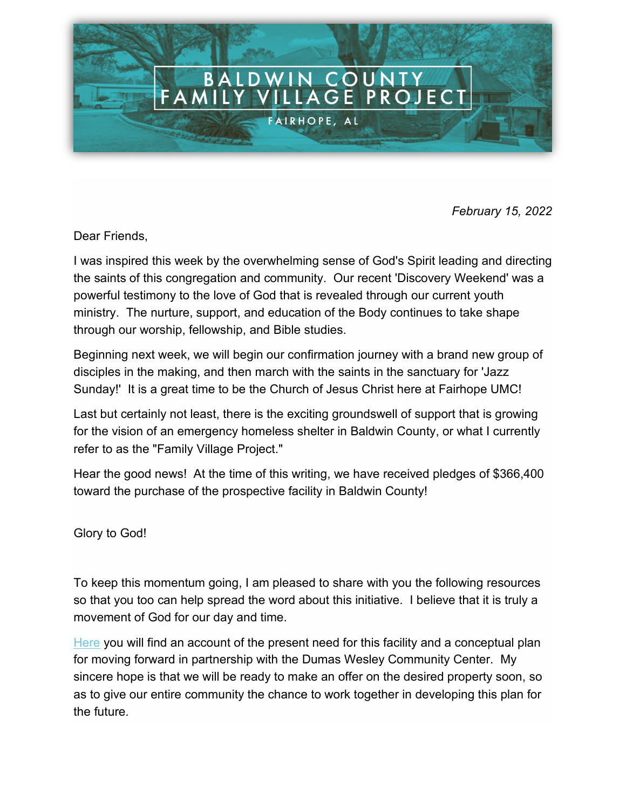

*February 15, 2022*

Dear Friends,

I was inspired this week by the overwhelming sense of God's Spirit leading and directing the saints of this congregation and community. Our recent 'Discovery Weekend' was a powerful testimony to the love of God that is revealed through our current youth ministry. The nurture, support, and education of the Body continues to take shape through our worship, fellowship, and Bible studies.

Beginning next week, we will begin our confirmation journey with a brand new group of disciples in the making, and then march with the saints in the sanctuary for 'Jazz Sunday!' It is a great time to be the Church of Jesus Christ here at Fairhope UMC!

Last but certainly not least, there is the exciting groundswell of support that is growing for the vision of an emergency homeless shelter in Baldwin County, or what I currently refer to as the "Family Village Project."

Hear the good news! At the time of this writing, we have received pledges of \$366,400 toward the purchase of the prospective facility in Baldwin County!

Glory to God!

To keep this momentum going, I am pleased to share with you the following resources so that you too can help spread the word about this initiative. I believe that it is truly a movement of God for our day and time.

[Here](https://www.fairhopeumc.org/familyvillageproject/) you will find an account of the present need for this facility and a conceptual plan for moving forward in partnership with the Dumas Wesley Community Center. My sincere hope is that we will be ready to make an offer on the desired property soon, so as to give our entire community the chance to work together in developing this plan for the future.